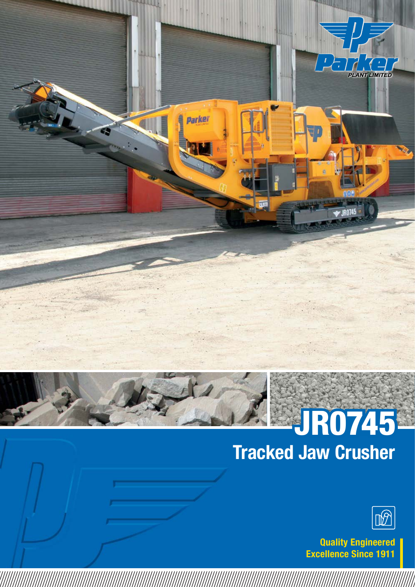

# Tracked Jaw Crusher JR0745



Quality Engineered Excellence Since 1911